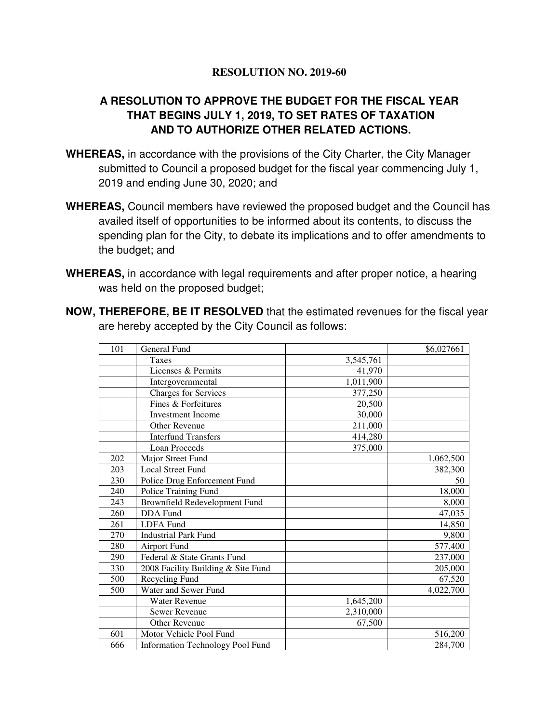## **RESOLUTION NO. 2019-60**

## **A RESOLUTION TO APPROVE THE BUDGET FOR THE FISCAL YEAR THAT BEGINS JULY 1, 2019, TO SET RATES OF TAXATION AND TO AUTHORIZE OTHER RELATED ACTIONS.**

- **WHEREAS,** in accordance with the provisions of the City Charter, the City Manager submitted to Council a proposed budget for the fiscal year commencing July 1, 2019 and ending June 30, 2020; and
- **WHEREAS,** Council members have reviewed the proposed budget and the Council has availed itself of opportunities to be informed about its contents, to discuss the spending plan for the City, to debate its implications and to offer amendments to the budget; and
- **WHEREAS,** in accordance with legal requirements and after proper notice, a hearing was held on the proposed budget;

| <b>NOW, THEREFORE, BE IT RESOLVED</b> that the estimated revenues for the fiscal year |
|---------------------------------------------------------------------------------------|
| are hereby accepted by the City Council as follows:                                   |

| 101 | General Fund                            |           | \$6,027661 |
|-----|-----------------------------------------|-----------|------------|
|     | Taxes                                   | 3,545,761 |            |
|     | Licenses & Permits                      | 41,970    |            |
|     | Intergovernmental                       | 1,011,900 |            |
|     | <b>Charges for Services</b>             | 377,250   |            |
|     | Fines & Forfeitures                     | 20,500    |            |
|     | <b>Investment Income</b>                | 30,000    |            |
|     | <b>Other Revenue</b>                    | 211,000   |            |
|     | <b>Interfund Transfers</b>              | 414,280   |            |
|     | <b>Loan Proceeds</b>                    | 375,000   |            |
| 202 | Major Street Fund                       |           | 1,062,500  |
| 203 | <b>Local Street Fund</b>                |           | 382,300    |
| 230 | Police Drug Enforcement Fund            |           | 50         |
| 240 | Police Training Fund                    |           | 18,000     |
| 243 | Brownfield Redevelopment Fund           |           | 8,000      |
| 260 | <b>DDA</b> Fund                         |           | 47,035     |
| 261 | <b>LDFA</b> Fund                        |           | 14,850     |
| 270 | <b>Industrial Park Fund</b>             |           | 9,800      |
| 280 | <b>Airport Fund</b>                     |           | 577,400    |
| 290 | Federal & State Grants Fund             |           | 237,000    |
| 330 | 2008 Facility Building & Site Fund      |           | 205,000    |
| 500 | Recycling Fund                          |           | 67,520     |
| 500 | Water and Sewer Fund                    |           | 4,022,700  |
|     | <b>Water Revenue</b>                    | 1,645,200 |            |
|     | Sewer Revenue                           | 2,310,000 |            |
|     | Other Revenue                           | 67,500    |            |
| 601 | Motor Vehicle Pool Fund                 |           | 516,200    |
| 666 | <b>Information Technology Pool Fund</b> |           | 284,700    |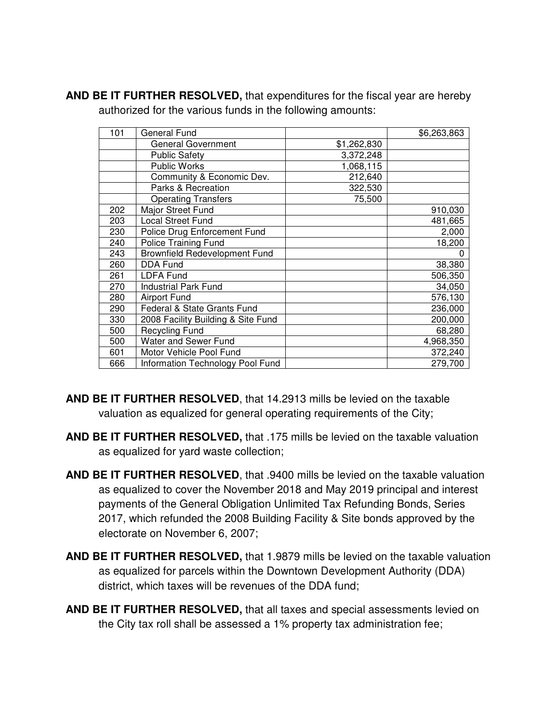| 101 | General Fund                       |             | \$6,263,863 |
|-----|------------------------------------|-------------|-------------|
|     | General Government                 | \$1,262,830 |             |
|     | <b>Public Safety</b>               | 3,372,248   |             |
|     | Public Works                       | 1,068,115   |             |
|     | Community & Economic Dev.          | 212,640     |             |
|     | Parks & Recreation                 | 322,530     |             |
|     | <b>Operating Transfers</b>         | 75,500      |             |
| 202 | Major Street Fund                  |             | 910,030     |
| 203 | <b>Local Street Fund</b>           |             | 481,665     |
| 230 | Police Drug Enforcement Fund       |             | 2,000       |
| 240 | <b>Police Training Fund</b>        |             | 18,200      |
| 243 | Brownfield Redevelopment Fund      |             |             |
| 260 | <b>DDA Fund</b>                    |             | 38,380      |
| 261 | <b>LDFA Fund</b>                   |             | 506,350     |
| 270 | <b>Industrial Park Fund</b>        |             | 34,050      |
| 280 | <b>Airport Fund</b>                |             | 576,130     |
| 290 | Federal & State Grants Fund        |             | 236,000     |
| 330 | 2008 Facility Building & Site Fund |             | 200,000     |
| 500 | <b>Recycling Fund</b>              |             | 68,280      |
| 500 | Water and Sewer Fund               |             | 4,968,350   |
| 601 | Motor Vehicle Pool Fund            |             | 372,240     |
| 666 | Information Technology Pool Fund   |             | 279,700     |

**AND BE IT FURTHER RESOLVED,** that expenditures for the fiscal year are hereby authorized for the various funds in the following amounts:

- **AND BE IT FURTHER RESOLVED**, that 14.2913 mills be levied on the taxable valuation as equalized for general operating requirements of the City;
- **AND BE IT FURTHER RESOLVED,** that .175 mills be levied on the taxable valuation as equalized for yard waste collection;
- **AND BE IT FURTHER RESOLVED**, that .9400 mills be levied on the taxable valuation as equalized to cover the November 2018 and May 2019 principal and interest payments of the General Obligation Unlimited Tax Refunding Bonds, Series 2017, which refunded the 2008 Building Facility & Site bonds approved by the electorate on November 6, 2007;
- **AND BE IT FURTHER RESOLVED,** that 1.9879 mills be levied on the taxable valuation as equalized for parcels within the Downtown Development Authority (DDA) district, which taxes will be revenues of the DDA fund;
- **AND BE IT FURTHER RESOLVED,** that all taxes and special assessments levied on the City tax roll shall be assessed a 1% property tax administration fee;